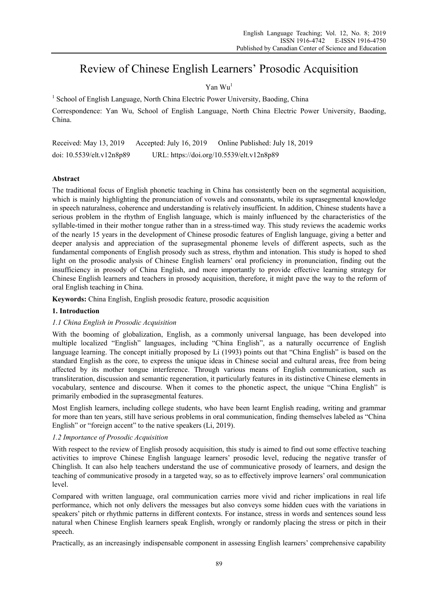# Review of Chinese English Learners' Prosodic Acquisition

## Yan Wu<sup>1</sup>

<sup>1</sup> School of English Language, North China Electric Power University, Baoding, China

Correspondence: Yan Wu, School of English Language, North China Electric Power University, Baoding, China.

Received: May 13, 2019 Accepted: July 16, 2019 Online Published: July 18, 2019 doi: 10.5539/elt.v12n8p89 URL: https://doi.org/10.5539/elt.v12n8p89

### **Abstract**

The traditional focus of English phonetic teaching in China has consistently been on the segmental acquisition, which is mainly highlighting the pronunciation of vowels and consonants, while its suprasegmental knowledge in speech naturalness, coherence and understanding is relatively insufficient. In addition, Chinese students have a serious problem in the rhythm of English language, which is mainly influenced by the characteristics of the syllable-timed in their mother tongue rather than in a stress-timed way. This study reviews the academic works of the nearly 15 years in the development of Chinese prosodic features of English language, giving a better and deeper analysis and appreciation of the suprasegmental phoneme levels of different aspects, such as the fundamental components of English prosody such as stress, rhythm and intonation. This study is hoped to shed light on the prosodic analysis of Chinese English learners' oral proficiency in pronunciation, finding out the insufficiency in prosody of China English, and more importantly to provide effective learning strategy for Chinese English learners and teachers in prosody acquisition, therefore, it might pave the way to the reform of oral English teaching in China.

**Keywords:** China English, English prosodic feature, prosodic acquisition

#### **1. Introduction**

#### *1.1 China English in Prosodic Acquisition*

With the booming of globalization, English, as a commonly universal language, has been developed into multiple localized "English" languages, including "China English", as a naturally occurrence of English language learning. The concept initially proposed by Li (1993) points out that "China English" is based on the standard English as the core, to express the unique ideas in Chinese social and cultural areas, free from being affected by its mother tongue interference. Through various means of English communication, such as transliteration, discussion and semantic regeneration, it particularly features in its distinctive Chinese elements in vocabulary, sentence and discourse. When it comes to the phonetic aspect, the unique "China English" is primarily embodied in the suprasegmental features.

Most English learners, including college students, who have been learnt English reading, writing and grammar for more than ten years, still have serious problems in oral communication, finding themselves labeled as "China English" or "foreign accent" to the native speakers (Li, 2019).

## *1.2 Importance of Prosodic Acquisition*

With respect to the review of English prosody acquisition, this study is aimed to find out some effective teaching activities to improve Chinese English language learners' prosodic level, reducing the negative transfer of Chinglish. It can also help teachers understand the use of communicative prosody of learners, and design the teaching of communicative prosody in a targeted way, so as to effectively improve learners' oral communication level.

Compared with written language, oral communication carries more vivid and richer implications in real life performance, which not only delivers the messages but also conveys some hidden cues with the variations in speakers' pitch or rhythmic patterns in different contexts. For instance, stress in words and sentences sound less natural when Chinese English learners speak English, wrongly or randomly placing the stress or pitch in their speech.

Practically, as an increasingly indispensable component in assessing English learners' comprehensive capability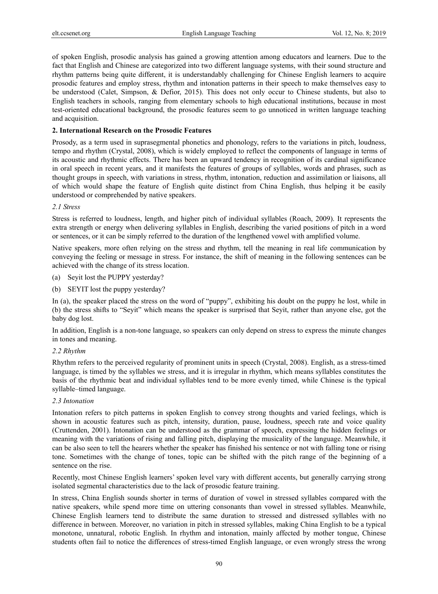of spoken English, prosodic analysis has gained a growing attention among educators and learners. Due to the fact that English and Chinese are categorized into two different language systems, with their sound structure and rhythm patterns being quite different, it is understandably challenging for Chinese English learners to acquire prosodic features and employ stress, rhythm and intonation patterns in their speech to make themselves easy to be understood (Calet, Simpson, & Defior, 2015). This does not only occur to Chinese students, but also to English teachers in schools, ranging from elementary schools to high educational institutions, because in most test-oriented educational background, the prosodic features seem to go unnoticed in written language teaching and acquisition.

## **2. International Research on the Prosodic Features**

Prosody, as a term used in suprasegmental phonetics and phonology, refers to the variations in pitch, loudness, tempo and rhythm (Crystal, 2008), which is widely employed to reflect the components of language in terms of its acoustic and rhythmic effects. There has been an upward tendency in recognition of its cardinal significance in oral speech in recent years, and it manifests the features of groups of syllables, words and phrases, such as thought groups in speech, with variations in stress, rhythm, intonation, reduction and assimilation or liaisons, all of which would shape the feature of English quite distinct from China English, thus helping it be easily understood or comprehended by native speakers.

## *2.1 Stress*

Stress is referred to loudness, length, and higher pitch of individual syllables (Roach, 2009). It represents the extra strength or energy when delivering syllables in English, describing the varied positions of pitch in a word or sentences, or it can be simply referred to the duration of the lengthened vowel with amplified volume.

Native speakers, more often relying on the stress and rhythm, tell the meaning in real life communication by conveying the feeling or message in stress. For instance, the shift of meaning in the following sentences can be achieved with the change of its stress location.

- (a) Seyit lost the PUPPY yesterday?
- (b) SEYIT lost the puppy yesterday?

In (a), the speaker placed the stress on the word of "puppy", exhibiting his doubt on the puppy he lost, while in (b) the stress shifts to "Seyit" which means the speaker is surprised that Seyit, rather than anyone else, got the baby dog lost.

In addition, English is a non-tone language, so speakers can only depend on stress to express the minute changes in tones and meaning.

#### *2.2 Rhythm*

Rhythm refers to the perceived regularity of prominent units in speech (Crystal, 2008). English, as a stress-timed language, is timed by the syllables we stress, and it is irregular in rhythm, which means syllables constitutes the basis of the rhythmic beat and individual syllables tend to be more evenly timed, while Chinese is the typical syllable–timed language.

## *2.3 Intonation*

Intonation refers to pitch patterns in spoken English to convey strong thoughts and varied feelings, which is shown in acoustic features such as pitch, intensity, duration, pause, loudness, speech rate and voice quality (Cruttenden, 2001). Intonation can be understood as the grammar of speech, expressing the hidden feelings or meaning with the variations of rising and falling pitch, displaying the musicality of the language. Meanwhile, it can be also seen to tell the hearers whether the speaker has finished his sentence or not with falling tone or rising tone. Sometimes with the change of tones, topic can be shifted with the pitch range of the beginning of a sentence on the rise.

Recently, most Chinese English learners' spoken level vary with different accents, but generally carrying strong isolated segmental characteristics due to the lack of prosodic feature training.

In stress, China English sounds shorter in terms of duration of vowel in stressed syllables compared with the native speakers, while spend more time on uttering consonants than vowel in stressed syllables. Meanwhile, Chinese English learners tend to distribute the same duration to stressed and distressed syllables with no difference in between. Moreover, no variation in pitch in stressed syllables, making China English to be a typical monotone, unnatural, robotic English. In rhythm and intonation, mainly affected by mother tongue, Chinese students often fail to notice the differences of stress-timed English language, or even wrongly stress the wrong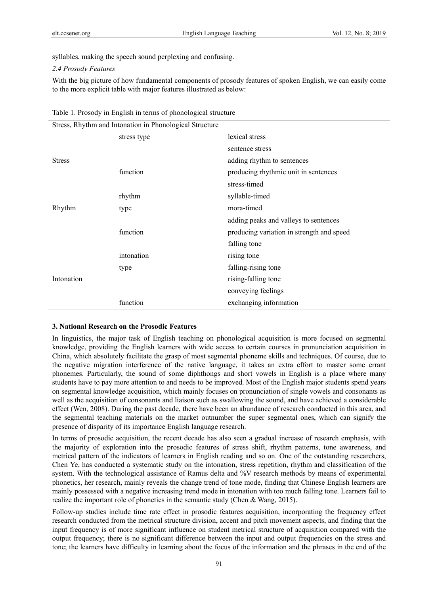syllables, making the speech sound perplexing and confusing.

#### *2.4 Prosody Features*

With the big picture of how fundamental components of prosody features of spoken English, we can easily come to the more explicit table with major features illustrated as below:

| Stress, Rhythm and Intonation in Phonological Structure |             |                                           |
|---------------------------------------------------------|-------------|-------------------------------------------|
|                                                         | stress type | lexical stress                            |
|                                                         |             | sentence stress                           |
| <b>Stress</b>                                           |             | adding rhythm to sentences                |
|                                                         | function    | producing rhythmic unit in sentences      |
|                                                         |             | stress-timed                              |
|                                                         | rhythm      | syllable-timed                            |
| Rhythm                                                  | type        | mora-timed                                |
|                                                         |             | adding peaks and valleys to sentences     |
|                                                         | function    | producing variation in strength and speed |
|                                                         |             | falling tone                              |
|                                                         | intonation  | rising tone                               |
|                                                         | type        | falling-rising tone                       |
| Intonation                                              |             | rising-falling tone                       |
|                                                         |             | conveying feelings                        |
|                                                         | function    | exchanging information                    |

| Table 1. Prosody in English in terms of phonological structure |  |
|----------------------------------------------------------------|--|
|----------------------------------------------------------------|--|

#### **3. National Research on the Prosodic Features**

In linguistics, the major task of English teaching on phonological acquisition is more focused on segmental knowledge, providing the English learners with wide access to certain courses in pronunciation acquisition in China, which absolutely facilitate the grasp of most segmental phoneme skills and techniques. Of course, due to the negative migration interference of the native language, it takes an extra effort to master some errant phonemes. Particularly, the sound of some diphthongs and short vowels in English is a place where many students have to pay more attention to and needs to be improved. Most of the English major students spend years on segmental knowledge acquisition, which mainly focuses on pronunciation of single vowels and consonants as well as the acquisition of consonants and liaison such as swallowing the sound, and have achieved a considerable effect (Wen, 2008). During the past decade, there have been an abundance of research conducted in this area, and the segmental teaching materials on the market outnumber the super segmental ones, which can signify the presence of disparity of its importance English language research.

In terms of prosodic acquisition, the recent decade has also seen a gradual increase of research emphasis, with the majority of exploration into the prosodic features of stress shift, rhythm patterns, tone awareness, and metrical pattern of the indicators of learners in English reading and so on. One of the outstanding researchers, Chen Ye, has conducted a systematic study on the intonation, stress repetition, rhythm and classification of the system. With the technological assistance of Ramus delta and %V research methods by means of experimental phonetics, her research, mainly reveals the change trend of tone mode, finding that Chinese English learners are mainly possessed with a negative increasing trend mode in intonation with too much falling tone. Learners fail to realize the important role of phonetics in the semantic study (Chen & Wang, 2015).

Follow-up studies include time rate effect in prosodic features acquisition, incorporating the frequency effect research conducted from the metrical structure division, accent and pitch movement aspects, and finding that the input frequency is of more significant influence on student metrical structure of acquisition compared with the output frequency; there is no significant difference between the input and output frequencies on the stress and tone; the learners have difficulty in learning about the focus of the information and the phrases in the end of the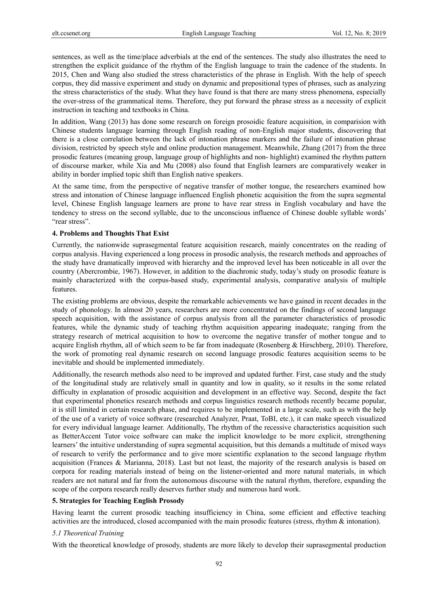sentences, as well as the time/place adverbials at the end of the sentences. The study also illustrates the need to strengthen the explicit guidance of the rhythm of the English language to train the cadence of the students. In 2015, Chen and Wang also studied the stress characteristics of the phrase in English. With the help of speech corpus, they did massive experiment and study on dynamic and prepositional types of phrases, such as analyzing the stress characteristics of the study. What they have found is that there are many stress phenomena, especially the over-stress of the grammatical items. Therefore, they put forward the phrase stress as a necessity of explicit instruction in teaching and textbooks in China.

In addition, Wang (2013) has done some research on foreign prosoidic feature acquisition, in comparision with Chinese students language learning through English reading of non-English major students, discovering that there is a close correlation between the lack of intonation phrase markers and the failure of intonation phrase division, restricted by speech style and online production management. Meanwhile, Zhang (2017) from the three prosodic features (meaning group, language group of highlights and non- highlight) examined the rhythm pattern of discourse marker, while Xia and Mu (2008) also found that English learners are comparatively weaker in ability in border implied topic shift than English native speakers.

At the same time, from the perspective of negative transfer of mother tongue, the researchers examined how stress and intonation of Chinese language influenced English phonetic acquisition the from the supra segmental level, Chinese English language learners are prone to have rear stress in English vocabulary and have the tendency to stress on the second syllable, due to the unconscious influence of Chinese double syllable words' "rear stress".

#### **4. Problems and Thoughts That Exist**

Currently, the nationwide suprasegmental feature acquisition research, mainly concentrates on the reading of corpus analysis. Having experienced a long process in prosodic analysis, the research methods and approaches of the study have dramatically improved with hierarchy and the improved level has been noticeable in all over the country (Abercrombie, 1967). However, in addition to the diachronic study, today's study on prosodic feature is mainly characterized with the corpus-based study, experimental analysis, comparative analysis of multiple features.

The existing problems are obvious, despite the remarkable achievements we have gained in recent decades in the study of phonology. In almost 20 years, researchers are more concentrated on the findings of second language speech acquisition, with the assistance of corpus analysis from all the parameter characteristics of prosodic features, while the dynamic study of teaching rhythm acquisition appearing inadequate; ranging from the strategy research of metrical acquisition to how to overcome the negative transfer of mother tongue and to acquire English rhythm, all of which seem to be far from inadequate (Rosenberg & Hirschberg, 2010). Therefore, the work of promoting real dynamic research on second language prosodic features acquisition seems to be inevitable and should be implemented immediately.

Additionally, the research methods also need to be improved and updated further. First, case study and the study of the longitudinal study are relatively small in quantity and low in quality, so it results in the some related difficulty in explanation of prosodic acquisition and development in an effective way. Second, despite the fact that experimental phonetics research methods and corpus linguistics research methods recently became popular, it is still limited in certain research phase, and requires to be implemented in a large scale, such as with the help of the use of a variety of voice software (researched Analyzer, Praat, ToBI, etc.), it can make speech visualized for every individual language learner. Additionally, The rhythm of the recessive characteristics acquisition such as BetterAccent Tutor voice software can make the implicit knowledge to be more explicit, strengthening learners' the intuitive understanding of supra segmental acquisition, but this demands a multitude of mixed ways of research to verify the performance and to give more scientific explanation to the second language rhythm acquisition (Frances & Marianna, 2018). Last but not least, the majority of the research analysis is based on corpora for reading materials instead of being on the listener-oriented and more natural materials, in which readers are not natural and far from the autonomous discourse with the natural rhythm, therefore, expanding the scope of the corpora research really deserves further study and numerous hard work.

#### **5. Strategies for Teaching English Prosody**

Having learnt the current prosodic teaching insufficiency in China, some efficient and effective teaching activities are the introduced, closed accompanied with the main prosodic features (stress, rhythm & intonation).

#### *5.1 Theoretical Training*

With the theoretical knowledge of prosody, students are more likely to develop their suprasegmental production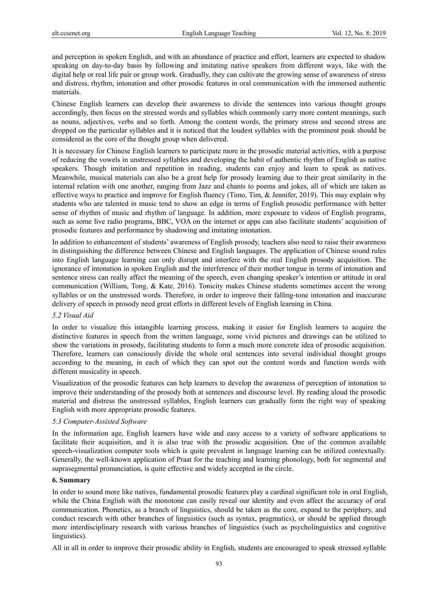and perception in spoken English, and with an abundance of practice and effort, learners are expected to shadow speaking on day-to-day basis by following and imitating native speakers from different ways, like with the digital help or real life pair or group work. Gradually, they can cultivate the growing sense of awareness of stress and distress, rhythm, intonation and other prosodic features in oral communication with the immersed authentic materials.

Chinese English learners can develop their awareness to divide the sentences into various thought groups accordingly, then focus on the stressed words and syllables which commonly carry more content meanings, such as nouns, adjectives, verbs and so forth. Among the content words, the primary stress and second stress are dropped on the particular syllables and it is noticed that the loudest syllables with the prominent peak should be considered as the core of the thought group when delivered.

It is necessary for Chinese English learners to participate more in the prosodic material activities, with a purpose of reducing the vowels in unstressed syllables and developing the habit of authentic rhythm of English as native speakers. Though imitation and repetition in reading, students can enjoy and learn to speak as natives. Meanwhile, musical materials can also be a great help for prosody learning due to their great similarity in the internal relation with one another, ranging from Jazz and chants to poems and jokes, all of which are taken as effective ways to practice and improve for English fluency (Timo, Tim, & Jennifer, 2019). This may explain why students who are talented in music tend to show an edge in terms of English prosodic performance with better sense of rhythm of music and rhythm of language. In addition, more exposure to videos of English programs, such as some live radio programs, BBC, VOA on the internet or apps can also facilitate students' acquisition of prosodic features and performance by shadowing and imitating intonation.

In addition to enhancement of students' awareness of English prosody, teachers also need to raise their awareness in distinguishing the difference between Chinese and English languages. The application of Chinese sound rules into English language learning can only disrupt and interfere with the real English prosody acquisition. The ignorance of intonation in spoken English and the interference of their mother tongue in terms of intonation and sentence stress can really affect the meaning of the speech, even changing speaker's intention or attitude in oral communication (William, Tong, & Kate, 2016). Tonicity makes Chinese students sometimes accent the wrong syllables or on the unstressed words. Therefore, in order to improve their falling-tone intonation and inaccurate delivery of speech in prosody need great efforts in different levels of English learning in China.

#### *5.2 Visual Aid*

In order to visualize this intangible learning process, making it easier for English learners to acquire the distinctive features in speech from the written language, some vivid pictures and drawings can be utilized to show the variations in prosody, facilitating students to form a much more concrete idea of prosodic acquisition. Therefore, learners can consciously divide the whole oral sentences into several individual thought groups according to the meaning, in each of which they can spot out the content words and function words with different musicality in speech.

Visualization of the prosodic features can help learners to develop the awareness of perception of intonation to improve their understanding of the prosody both at sentences and discourse level. By reading aloud the prosodic material and distress the unstressed syllables, English learners can gradually form the right way of speaking English with more appropriate prosodic features.

#### *5.3 Computer-Assisted Software*

In the information age, English learners have wide and easy access to a variety of software applications to facilitate their acquisition, and it is also true with the prosodic acquisition. One of the common available speech-visualization computer tools which is quite prevalent in language learning can be utilized contextually. Generally, the well-known application of Praat for the teaching and learning phonology, both for segmental and suprasegmental pronunciation, is quite effective and widely accepted in the circle.

#### **6. Summary**

In order to sound more like natives, fundamental prosodic features play a cardinal significant role in oral English, while the China English with the monotone can easily reveal our identity and even affect the accuracy of oral communication. Phonetics, as a branch of linguistics, should be taken as the core, expand to the periphery, and conduct research with other branches of linguistics (such as syntax, pragmatics), or should be applied through more interdisciplinary research with various branches of linguistics (such as psycholinguistics and cognitive linguistics).

All in all in order to improve their prosodic ability in English, students are encouraged to speak stressed syllable